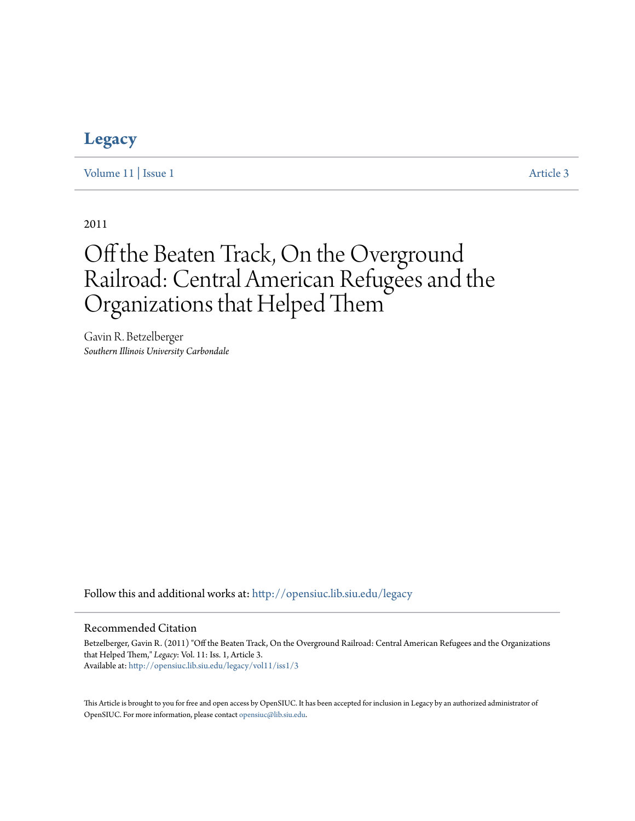# **[Legacy](http://opensiuc.lib.siu.edu/legacy?utm_source=opensiuc.lib.siu.edu%2Flegacy%2Fvol11%2Fiss1%2F3&utm_medium=PDF&utm_campaign=PDFCoverPages)**

[Volume 11](http://opensiuc.lib.siu.edu/legacy/vol11?utm_source=opensiuc.lib.siu.edu%2Flegacy%2Fvol11%2Fiss1%2F3&utm_medium=PDF&utm_campaign=PDFCoverPages) | [Issue 1](http://opensiuc.lib.siu.edu/legacy/vol11/iss1?utm_source=opensiuc.lib.siu.edu%2Flegacy%2Fvol11%2Fiss1%2F3&utm_medium=PDF&utm_campaign=PDFCoverPages) [Article 3](http://opensiuc.lib.siu.edu/legacy/vol11/iss1/3?utm_source=opensiuc.lib.siu.edu%2Flegacy%2Fvol11%2Fiss1%2F3&utm_medium=PDF&utm_campaign=PDFCoverPages)

2011

# Off the Beaten Track, On the Overground Railroad: Central American Refugees and the Organizations that Helped Them

Gavin R. Betzelberger *Southern Illinois University Carbondale*

Follow this and additional works at: [http://opensiuc.lib.siu.edu/legacy](http://opensiuc.lib.siu.edu/legacy?utm_source=opensiuc.lib.siu.edu%2Flegacy%2Fvol11%2Fiss1%2F3&utm_medium=PDF&utm_campaign=PDFCoverPages)

#### Recommended Citation

Betzelberger, Gavin R. (2011) "Off the Beaten Track, On the Overground Railroad: Central American Refugees and the Organizations that Helped Them," *Legacy*: Vol. 11: Iss. 1, Article 3. Available at: [http://opensiuc.lib.siu.edu/legacy/vol11/iss1/3](http://opensiuc.lib.siu.edu/legacy/vol11/iss1/3?utm_source=opensiuc.lib.siu.edu%2Flegacy%2Fvol11%2Fiss1%2F3&utm_medium=PDF&utm_campaign=PDFCoverPages)

This Article is brought to you for free and open access by OpenSIUC. It has been accepted for inclusion in Legacy by an authorized administrator of OpenSIUC. For more information, please contact [opensiuc@lib.siu.edu.](mailto:opensiuc@lib.siu.edu)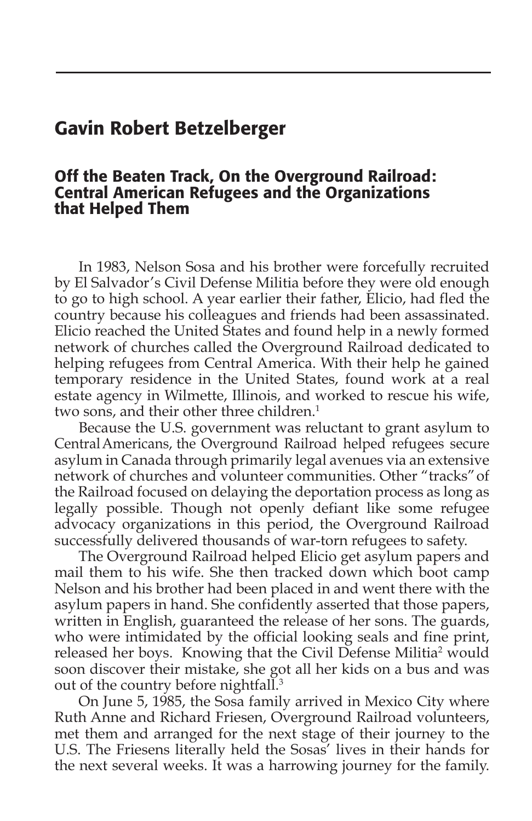## Gavin Robert Betzelberger

#### Off the Beaten Track, On the Overground Railroad: Central American Refugees and the Organizations that Helped Them

In 1983, Nelson Sosa and his brother were forcefully recruited by El Salvador's Civil Defense Militia before they were old enough to go to high school. A year earlier their father, Elicio, had fled the country because his colleagues and friends had been assassinated. Elicio reached the United States and found help in a newly formed network of churches called the Overground Railroad dedicated to helping refugees from Central America. With their help he gained temporary residence in the United States, found work at a real estate agency in Wilmette, Illinois, and worked to rescue his wife, two sons, and their other three children.<sup>1</sup>

Because the U.S. government was reluctant to grant asylum to Central Americans, the Overground Railroad helped refugees secure asylum in Canada through primarily legal avenues via an extensive network of churches and volunteer communities. Other "tracks" of the Railroad focused on delaying the deportation process as long as legally possible. Though not openly defiant like some refugee advocacy organizations in this period, the Overground Railroad successfully delivered thousands of war-torn refugees to safety.

The Overground Railroad helped Elicio get asylum papers and mail them to his wife. She then tracked down which boot camp Nelson and his brother had been placed in and went there with the asylum papers in hand. She confidently asserted that those papers, written in English, guaranteed the release of her sons. The guards, who were intimidated by the official looking seals and fine print, released her boys. Knowing that the Civil Defense Militia<sup>2</sup> would soon discover their mistake, she got all her kids on a bus and was out of the country before nightfall.3

On June 5, 1985, the Sosa family arrived in Mexico City where Ruth Anne and Richard Friesen, Overground Railroad volunteers, met them and arranged for the next stage of their journey to the U.S. The Friesens literally held the Sosas' lives in their hands for the next several weeks. It was a harrowing journey for the family.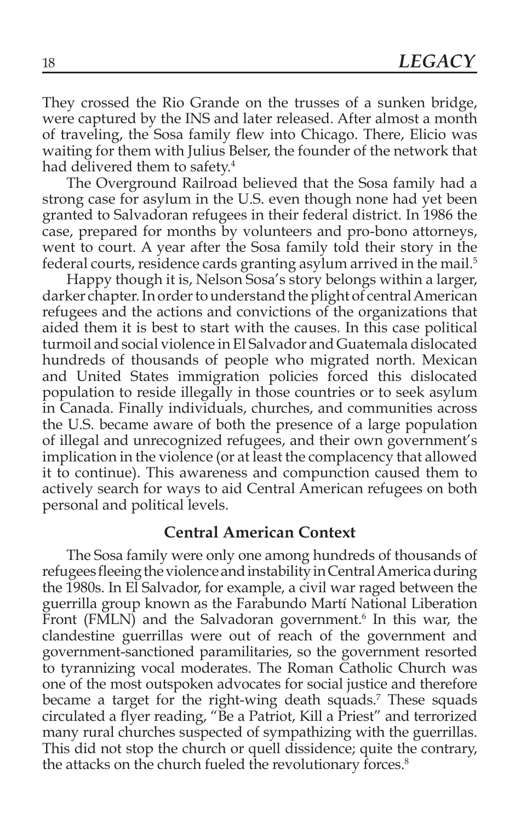They crossed the Rio Grande on the trusses of a sunken bridge, were captured by the INS and later released. After almost a month of traveling, the Sosa family flew into Chicago. There, Elicio was waiting for them with Julius Belser, the founder of the network that had delivered them to safety.<sup>4</sup>

The Overground Railroad believed that the Sosa family had a strong case for asylum in the U.S. even though none had yet been granted to Salvadoran refugees in their federal district. In 1986 the case, prepared for months by volunteers and pro-bono attorneys, went to court. A year after the Sosa family told their story in the federal courts, residence cards granting asylum arrived in the mail.<sup>5</sup>

Happy though it is, Nelson Sosa's story belongs within a larger, darker chapter. In order to understand the plight of central American refugees and the actions and convictions of the organizations that aided them it is best to start with the causes. In this case political turmoil and social violence in El Salvador and Guatemala dislocated hundreds of thousands of people who migrated north. Mexican and United States immigration policies forced this dislocated population to reside illegally in those countries or to seek asylum in Canada. Finally individuals, churches, and communities across the U.S. became aware of both the presence of a large population of illegal and unrecognized refugees, and their own government's implication in the violence (or at least the complacency that allowed it to continue). This awareness and compunction caused them to actively search for ways to aid Central American refugees on both personal and political levels.

#### **Central American Context**

The Sosa family were only one among hundreds of thousands of refugees fleeing the violence and instability in Central America during the 1980s. In El Salvador, for example, a civil war raged between the guerrilla group known as the Farabundo Martí National Liberation Front (FMLN) and the Salvadoran government.<sup>6</sup> In this war, the clandestine guerrillas were out of reach of the government and government-sanctioned paramilitaries, so the government resorted to tyrannizing vocal moderates. The Roman Catholic Church was one of the most outspoken advocates for social justice and therefore became a target for the right-wing death squads.<sup>7</sup> These squads circulated a flyer reading, "Be a Patriot, Kill a Priest" and terrorized many rural churches suspected of sympathizing with the guerrillas. This did not stop the church or quell dissidence; quite the contrary, the attacks on the church fueled the revolutionary forces.<sup>8</sup>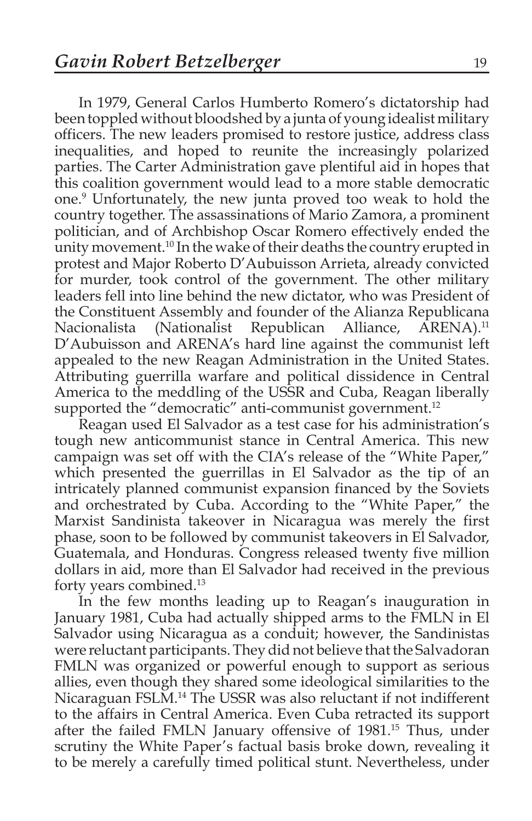In 1979, General Carlos Humberto Romero's dictatorship had been toppled without bloodshed by a junta of young idealist military officers. The new leaders promised to restore justice, address class inequalities, and hoped to reunite the increasingly polarized parties. The Carter Administration gave plentiful aid in hopes that this coalition government would lead to a more stable democratic one.9 Unfortunately, the new junta proved too weak to hold the country together. The assassinations of Mario Zamora, a prominent politician, and of Archbishop Oscar Romero effectively ended the unity movement.10 In the wake of their deaths the country erupted in protest and Major Roberto D'Aubuisson Arrieta, already convicted for murder, took control of the government. The other military leaders fell into line behind the new dictator, who was President of the Constituent Assembly and founder of the Alianza Republicana Nacionalista (Nationalist Republican Alliance, ARENA).<sup>11</sup> D'Aubuisson and ARENA's hard line against the communist left appealed to the new Reagan Administration in the United States. Attributing guerrilla warfare and political dissidence in Central America to the meddling of the USSR and Cuba, Reagan liberally supported the "democratic" anti-communist government.<sup>12</sup>

Reagan used El Salvador as a test case for his administration's tough new anticommunist stance in Central America. This new campaign was set off with the CIA's release of the "White Paper," which presented the guerrillas in El Salvador as the tip of an intricately planned communist expansion financed by the Soviets and orchestrated by Cuba. According to the "White Paper," the Marxist Sandinista takeover in Nicaragua was merely the first phase, soon to be followed by communist takeovers in El Salvador, Guatemala, and Honduras. Congress released twenty five million dollars in aid, more than El Salvador had received in the previous forty years combined.13

In the few months leading up to Reagan's inauguration in January 1981, Cuba had actually shipped arms to the FMLN in El Salvador using Nicaragua as a conduit; however, the Sandinistas were reluctant participants. They did not believe that the Salvadoran FMLN was organized or powerful enough to support as serious allies, even though they shared some ideological similarities to the Nicaraguan FSLM.14 The USSR was also reluctant if not indifferent to the affairs in Central America. Even Cuba retracted its support after the failed FMLN January offensive of 1981.15 Thus, under scrutiny the White Paper's factual basis broke down, revealing it to be merely a carefully timed political stunt. Nevertheless, under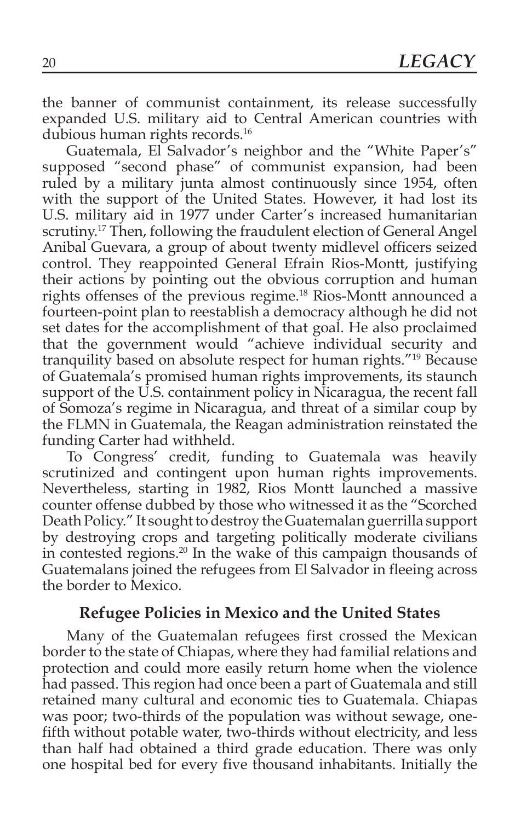the banner of communist containment, its release successfully expanded U.S. military aid to Central American countries with dubious human rights records.<sup>16</sup>

Guatemala, El Salvador's neighbor and the "White Paper's" supposed "second phase" of communist expansion, had been ruled by a military junta almost continuously since 1954, often with the support of the United States. However, it had lost its U.S. military aid in 1977 under Carter's increased humanitarian scrutiny.<sup>17</sup> Then, following the fraudulent election of General Angel Anibal Guevara, a group of about twenty midlevel officers seized control. They reappointed General Efrain Rios-Montt, justifying their actions by pointing out the obvious corruption and human rights offenses of the previous regime.18 Rios-Montt announced a fourteen-point plan to reestablish a democracy although he did not set dates for the accomplishment of that goal. He also proclaimed that the government would "achieve individual security and tranquility based on absolute respect for human rights."19 Because of Guatemala's promised human rights improvements, its staunch support of the U.S. containment policy in Nicaragua, the recent fall of Somoza's regime in Nicaragua, and threat of a similar coup by the FLMN in Guatemala, the Reagan administration reinstated the funding Carter had withheld.

To Congress' credit, funding to Guatemala was heavily scrutinized and contingent upon human rights improvements. Nevertheless, starting in 1982, Rios Montt launched a massive counter offense dubbed by those who witnessed it as the "Scorched Death Policy." It sought to destroy the Guatemalan guerrilla support by destroying crops and targeting politically moderate civilians in contested regions.20 In the wake of this campaign thousands of Guatemalans joined the refugees from El Salvador in fleeing across the border to Mexico.

#### **Refugee Policies in Mexico and the United States**

Many of the Guatemalan refugees first crossed the Mexican border to the state of Chiapas, where they had familial relations and protection and could more easily return home when the violence had passed. This region had once been a part of Guatemala and still retained many cultural and economic ties to Guatemala. Chiapas was poor; two-thirds of the population was without sewage, onefifth without potable water, two-thirds without electricity, and less than half had obtained a third grade education. There was only one hospital bed for every five thousand inhabitants. Initially the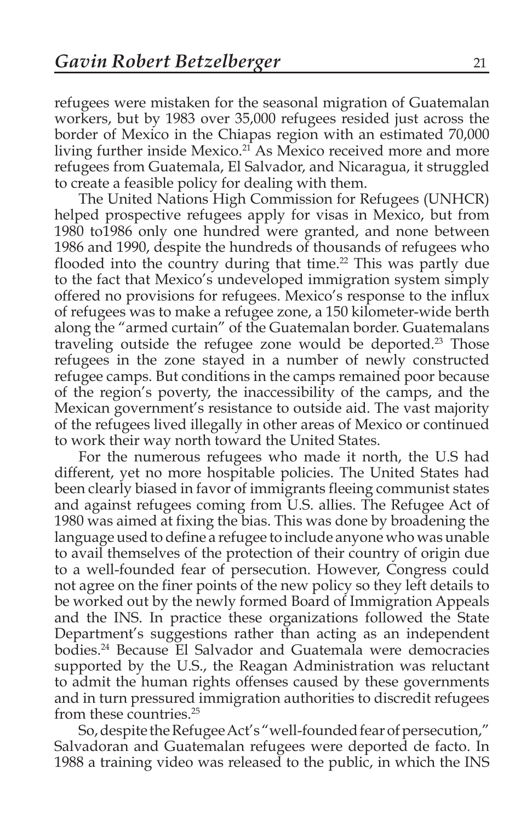refugees were mistaken for the seasonal migration of Guatemalan workers, but by 1983 over 35,000 refugees resided just across the border of Mexico in the Chiapas region with an estimated 70,000 living further inside Mexico.<sup>21</sup> As Mexico received more and more refugees from Guatemala, El Salvador, and Nicaragua, it struggled to create a feasible policy for dealing with them.

The United Nations High Commission for Refugees (UNHCR) helped prospective refugees apply for visas in Mexico, but from 1980 to1986 only one hundred were granted, and none between 1986 and 1990, despite the hundreds of thousands of refugees who flooded into the country during that time.<sup>22</sup> This was partly due to the fact that Mexico's undeveloped immigration system simply offered no provisions for refugees. Mexico's response to the influx of refugees was to make a refugee zone, a 150 kilometer-wide berth along the "armed curtain" of the Guatemalan border. Guatemalans traveling outside the refugee zone would be deported.<sup>23</sup> Those refugees in the zone stayed in a number of newly constructed refugee camps. But conditions in the camps remained poor because of the region's poverty, the inaccessibility of the camps, and the Mexican government's resistance to outside aid. The vast majority of the refugees lived illegally in other areas of Mexico or continued to work their way north toward the United States.

For the numerous refugees who made it north, the U.S had different, yet no more hospitable policies. The United States had been clearly biased in favor of immigrants fleeing communist states and against refugees coming from U.S. allies. The Refugee Act of 1980 was aimed at fixing the bias. This was done by broadening the language used to define a refugee to include anyone who was unable to avail themselves of the protection of their country of origin due to a well-founded fear of persecution. However, Congress could not agree on the finer points of the new policy so they left details to be worked out by the newly formed Board of Immigration Appeals and the INS. In practice these organizations followed the State Department's suggestions rather than acting as an independent bodies.24 Because El Salvador and Guatemala were democracies supported by the U.S., the Reagan Administration was reluctant to admit the human rights offenses caused by these governments and in turn pressured immigration authorities to discredit refugees from these countries.25

So, despite the Refugee Act's "well-founded fear of persecution," Salvadoran and Guatemalan refugees were deported de facto. In 1988 a training video was released to the public, in which the INS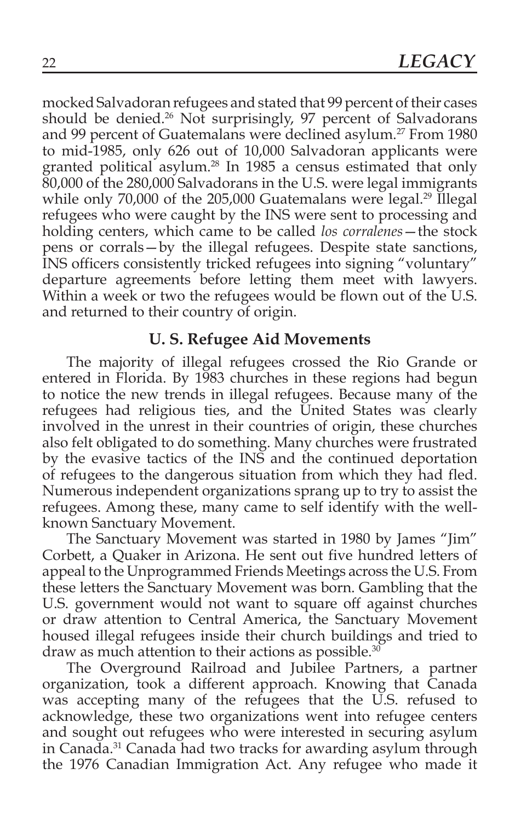mocked Salvadoran refugees and stated that 99 percent of their cases should be denied.<sup>26</sup> Not surprisingly, 97 percent of Salvadorans and 99 percent of Guatemalans were declined asylum.<sup>27</sup> From 1980 to mid-1985, only 626 out of 10,000 Salvadoran applicants were granted political asylum.28 In 1985 a census estimated that only 80,000 of the 280,000 Salvadorans in the U.S. were legal immigrants while only 70,000 of the 205,000 Guatemalans were legal.<sup>29</sup> Illegal refugees who were caught by the INS were sent to processing and holding centers, which came to be called *los corralenes*—the stock pens or corrals—by the illegal refugees. Despite state sanctions, INS officers consistently tricked refugees into signing "voluntary" departure agreements before letting them meet with lawyers. Within a week or two the refugees would be flown out of the U.S. and returned to their country of origin.

#### **U. S. Refugee Aid Movements**

The majority of illegal refugees crossed the Rio Grande or entered in Florida. By 1983 churches in these regions had begun to notice the new trends in illegal refugees. Because many of the refugees had religious ties, and the United States was clearly involved in the unrest in their countries of origin, these churches also felt obligated to do something. Many churches were frustrated by the evasive tactics of the INS and the continued deportation of refugees to the dangerous situation from which they had fled. Numerous independent organizations sprang up to try to assist the refugees. Among these, many came to self identify with the wellknown Sanctuary Movement.

The Sanctuary Movement was started in 1980 by James "Jim" Corbett, a Quaker in Arizona. He sent out five hundred letters of appeal to the Unprogrammed Friends Meetings across the U.S. From these letters the Sanctuary Movement was born. Gambling that the U.S. government would not want to square off against churches or draw attention to Central America, the Sanctuary Movement housed illegal refugees inside their church buildings and tried to draw as much attention to their actions as possible.30

The Overground Railroad and Jubilee Partners, a partner organization, took a different approach. Knowing that Canada was accepting many of the refugees that the U.S. refused to acknowledge, these two organizations went into refugee centers and sought out refugees who were interested in securing asylum in Canada.31 Canada had two tracks for awarding asylum through the 1976 Canadian Immigration Act. Any refugee who made it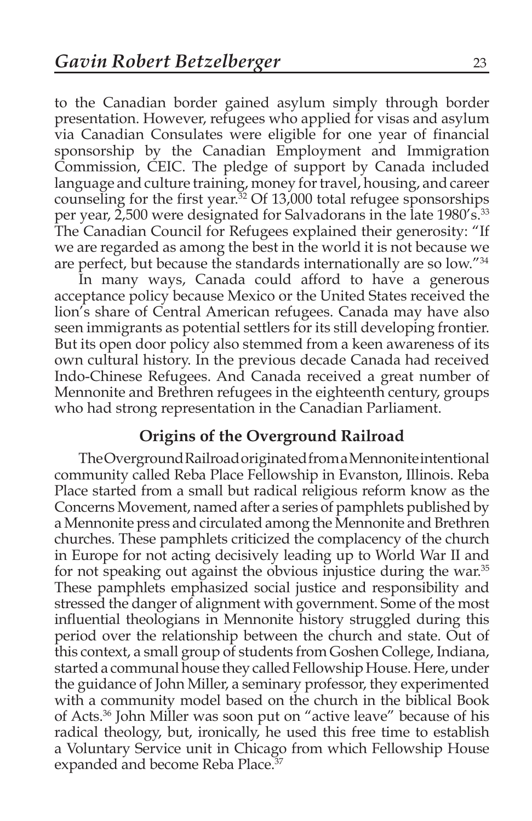to the Canadian border gained asylum simply through border presentation. However, refugees who applied for visas and asylum via Canadian Consulates were eligible for one year of financial sponsorship by the Canadian Employment and Immigration Commission, CEIC. The pledge of support by Canada included language and culture training, money for travel, housing, and career counseling for the first year. $32$  Of 13,000 total refugee sponsorships per year, 2,500 were designated for Salvadorans in the late 1980's.<sup>33</sup> The Canadian Council for Refugees explained their generosity: "If we are regarded as among the best in the world it is not because we are perfect, but because the standards internationally are so low."34

In many ways, Canada could afford to have a generous acceptance policy because Mexico or the United States received the lion's share of Central American refugees. Canada may have also seen immigrants as potential settlers for its still developing frontier. But its open door policy also stemmed from a keen awareness of its own cultural history. In the previous decade Canada had received Indo-Chinese Refugees. And Canada received a great number of Mennonite and Brethren refugees in the eighteenth century, groups who had strong representation in the Canadian Parliament.

#### **Origins of the Overground Railroad**

The Overground Railroad originated from a Mennonite intentional community called Reba Place Fellowship in Evanston, Illinois. Reba Place started from a small but radical religious reform know as the Concerns Movement, named after a series of pamphlets published by a Mennonite press and circulated among the Mennonite and Brethren churches. These pamphlets criticized the complacency of the church in Europe for not acting decisively leading up to World War II and for not speaking out against the obvious injustice during the war.<sup>35</sup> These pamphlets emphasized social justice and responsibility and stressed the danger of alignment with government. Some of the most influential theologians in Mennonite history struggled during this period over the relationship between the church and state. Out of this context, a small group of students from Goshen College, Indiana, started a communal house they called Fellowship House. Here, under the guidance of John Miller, a seminary professor, they experimented with a community model based on the church in the biblical Book of Acts.36 John Miller was soon put on "active leave" because of his radical theology, but, ironically, he used this free time to establish a Voluntary Service unit in Chicago from which Fellowship House expanded and become Reba Place.<sup>37</sup>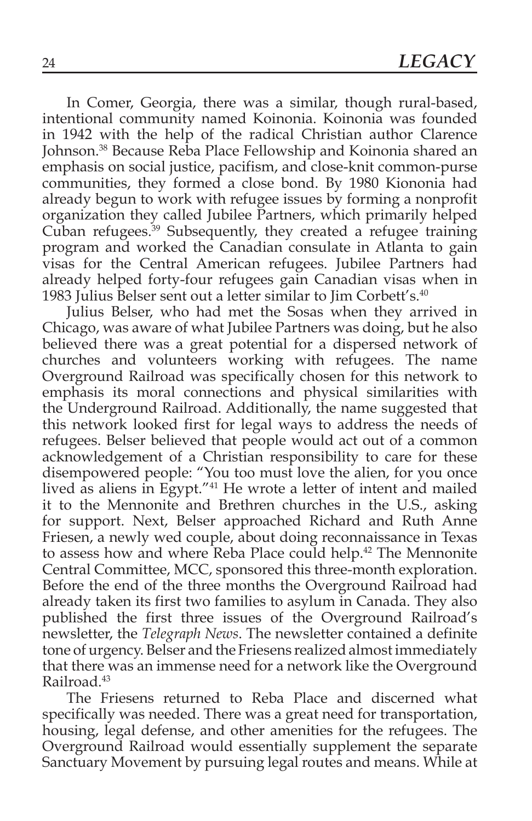In Comer, Georgia, there was a similar, though rural-based, intentional community named Koinonia. Koinonia was founded in 1942 with the help of the radical Christian author Clarence Johnson.38 Because Reba Place Fellowship and Koinonia shared an emphasis on social justice, pacifism, and close-knit common-purse communities, they formed a close bond. By 1980 Kiononia had already begun to work with refugee issues by forming a nonprofit organization they called Jubilee Partners, which primarily helped Cuban refugees.39 Subsequently, they created a refugee training program and worked the Canadian consulate in Atlanta to gain visas for the Central American refugees. Jubilee Partners had already helped forty-four refugees gain Canadian visas when in 1983 Julius Belser sent out a letter similar to Jim Corbett's.40

Julius Belser, who had met the Sosas when they arrived in Chicago, was aware of what Jubilee Partners was doing, but he also believed there was a great potential for a dispersed network of churches and volunteers working with refugees. The name Overground Railroad was specifically chosen for this network to emphasis its moral connections and physical similarities with the Underground Railroad. Additionally, the name suggested that this network looked first for legal ways to address the needs of refugees. Belser believed that people would act out of a common acknowledgement of a Christian responsibility to care for these disempowered people: "You too must love the alien, for you once lived as aliens in Egypt."41 He wrote a letter of intent and mailed it to the Mennonite and Brethren churches in the U.S., asking for support. Next, Belser approached Richard and Ruth Anne Friesen, a newly wed couple, about doing reconnaissance in Texas to assess how and where Reba Place could help.<sup>42</sup> The Mennonite Central Committee, MCC, sponsored this three-month exploration. Before the end of the three months the Overground Railroad had already taken its first two families to asylum in Canada. They also published the first three issues of the Overground Railroad's newsletter, the *Telegraph News*. The newsletter contained a definite tone of urgency. Belser and the Friesens realized almost immediately that there was an immense need for a network like the Overground Railroad.43

The Friesens returned to Reba Place and discerned what specifically was needed. There was a great need for transportation, housing, legal defense, and other amenities for the refugees. The Overground Railroad would essentially supplement the separate Sanctuary Movement by pursuing legal routes and means. While at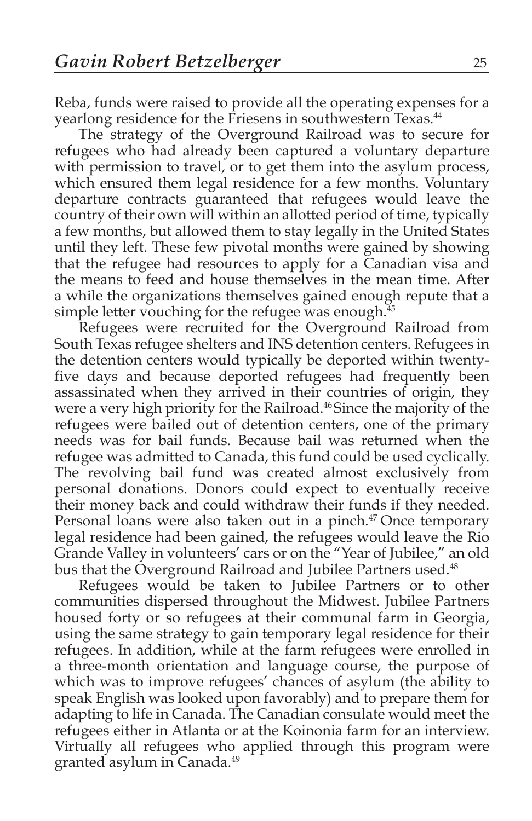Reba, funds were raised to provide all the operating expenses for a yearlong residence for the Friesens in southwestern Texas.<sup>44</sup>

The strategy of the Overground Railroad was to secure for refugees who had already been captured a voluntary departure with permission to travel, or to get them into the asylum process, which ensured them legal residence for a few months. Voluntary departure contracts guaranteed that refugees would leave the country of their own will within an allotted period of time, typically a few months, but allowed them to stay legally in the United States until they left. These few pivotal months were gained by showing that the refugee had resources to apply for a Canadian visa and the means to feed and house themselves in the mean time. After a while the organizations themselves gained enough repute that a simple letter vouching for the refugee was enough. $45$ 

Refugees were recruited for the Overground Railroad from South Texas refugee shelters and INS detention centers. Refugees in the detention centers would typically be deported within twentyfive days and because deported refugees had frequently been assassinated when they arrived in their countries of origin, they were a very high priority for the Railroad.<sup>46</sup> Since the majority of the refugees were bailed out of detention centers, one of the primary needs was for bail funds. Because bail was returned when the refugee was admitted to Canada, this fund could be used cyclically. The revolving bail fund was created almost exclusively from personal donations. Donors could expect to eventually receive their money back and could withdraw their funds if they needed. Personal loans were also taken out in a pinch.<sup>47</sup> Once temporary legal residence had been gained, the refugees would leave the Rio Grande Valley in volunteers' cars or on the "Year of Jubilee," an old bus that the Overground Railroad and Jubilee Partners used.<sup>48</sup>

Refugees would be taken to Jubilee Partners or to other communities dispersed throughout the Midwest. Jubilee Partners housed forty or so refugees at their communal farm in Georgia, using the same strategy to gain temporary legal residence for their refugees. In addition, while at the farm refugees were enrolled in a three-month orientation and language course, the purpose of which was to improve refugees' chances of asylum (the ability to speak English was looked upon favorably) and to prepare them for adapting to life in Canada. The Canadian consulate would meet the refugees either in Atlanta or at the Koinonia farm for an interview. Virtually all refugees who applied through this program were granted asylum in Canada.49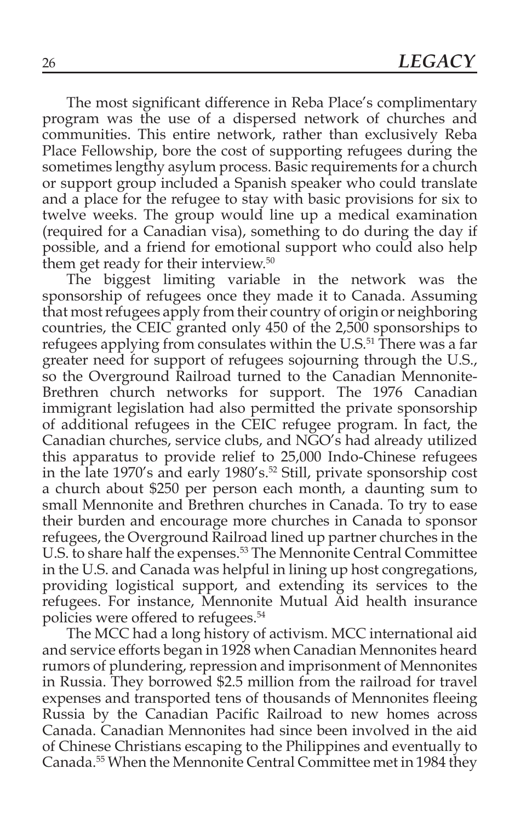The most significant difference in Reba Place's complimentary program was the use of a dispersed network of churches and communities. This entire network, rather than exclusively Reba Place Fellowship, bore the cost of supporting refugees during the sometimes lengthy asylum process. Basic requirements for a church or support group included a Spanish speaker who could translate and a place for the refugee to stay with basic provisions for six to twelve weeks. The group would line up a medical examination (required for a Canadian visa), something to do during the day if possible, and a friend for emotional support who could also help them get ready for their interview.50

The biggest limiting variable in the network was the sponsorship of refugees once they made it to Canada. Assuming that most refugees apply from their country of origin or neighboring countries, the CEIC granted only 450 of the 2,500 sponsorships to refugees applying from consulates within the U.S.<sup>51</sup> There was a far greater need for support of refugees sojourning through the U.S., so the Overground Railroad turned to the Canadian Mennonite-Brethren church networks for support. The 1976 Canadian immigrant legislation had also permitted the private sponsorship of additional refugees in the CEIC refugee program. In fact, the Canadian churches, service clubs, and NGO's had already utilized this apparatus to provide relief to 25,000 Indo-Chinese refugees in the late 1970's and early 1980's.<sup>52</sup> Still, private sponsorship cost a church about \$250 per person each month, a daunting sum to small Mennonite and Brethren churches in Canada. To try to ease their burden and encourage more churches in Canada to sponsor refugees, the Overground Railroad lined up partner churches in the U.S. to share half the expenses.<sup>53</sup> The Mennonite Central Committee in the U.S. and Canada was helpful in lining up host congregations, providing logistical support, and extending its services to the refugees. For instance, Mennonite Mutual Aid health insurance policies were offered to refugees.54

The MCC had a long history of activism. MCC international aid and service efforts began in 1928 when Canadian Mennonites heard rumors of plundering, repression and imprisonment of Mennonites in Russia. They borrowed \$2.5 million from the railroad for travel expenses and transported tens of thousands of Mennonites fleeing Russia by the Canadian Pacific Railroad to new homes across Canada. Canadian Mennonites had since been involved in the aid of Chinese Christians escaping to the Philippines and eventually to Canada.55 When the Mennonite Central Committee met in 1984 they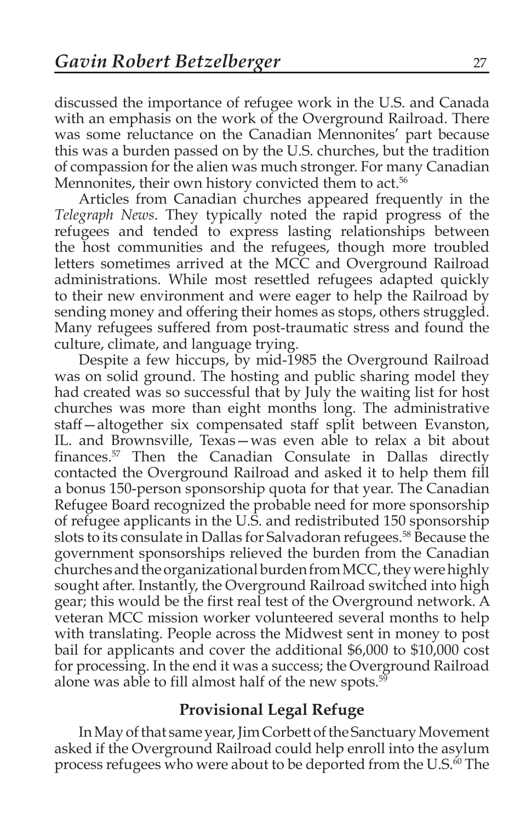discussed the importance of refugee work in the U.S. and Canada with an emphasis on the work of the Overground Railroad. There was some reluctance on the Canadian Mennonites' part because this was a burden passed on by the U.S. churches, but the tradition of compassion for the alien was much stronger. For many Canadian Mennonites, their own history convicted them to act.<sup>56</sup>

Articles from Canadian churches appeared frequently in the *Telegraph News*. They typically noted the rapid progress of the refugees and tended to express lasting relationships between the host communities and the refugees, though more troubled letters sometimes arrived at the MCC and Overground Railroad administrations. While most resettled refugees adapted quickly to their new environment and were eager to help the Railroad by sending money and offering their homes as stops, others struggled. Many refugees suffered from post-traumatic stress and found the culture, climate, and language trying.

Despite a few hiccups, by mid-1985 the Overground Railroad was on solid ground. The hosting and public sharing model they had created was so successful that by July the waiting list for host churches was more than eight months long. The administrative staff—altogether six compensated staff split between Evanston, IL. and Brownsville, Texas—was even able to relax a bit about finances.<sup>57</sup> Then the Canadian Consulate in Dallas directly contacted the Overground Railroad and asked it to help them fill a bonus 150-person sponsorship quota for that year. The Canadian Refugee Board recognized the probable need for more sponsorship of refugee applicants in the U.S. and redistributed 150 sponsorship slots to its consulate in Dallas for Salvadoran refugees.<sup>58</sup> Because the government sponsorships relieved the burden from the Canadian churches and the organizational burden from MCC, they were highly sought after. Instantly, the Overground Railroad switched into high gear; this would be the first real test of the Overground network. A veteran MCC mission worker volunteered several months to help with translating. People across the Midwest sent in money to post bail for applicants and cover the additional \$6,000 to \$10,000 cost for processing. In the end it was a success; the Overground Railroad alone was able to fill almost half of the new spots. $5\overline{9}$ 

### **Provisional Legal Refuge**

In May of that same year, Jim Corbett of the Sanctuary Movement asked if the Overground Railroad could help enroll into the asylum process refugees who were about to be deported from the U.S.<sup>60</sup> The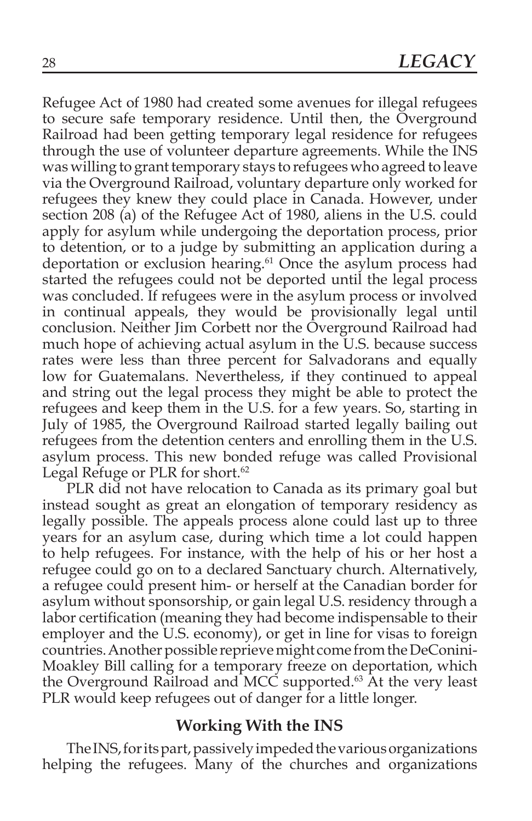Refugee Act of 1980 had created some avenues for illegal refugees to secure safe temporary residence. Until then, the Overground Railroad had been getting temporary legal residence for refugees through the use of volunteer departure agreements. While the INS was willing to grant temporary stays to refugees who agreed to leave via the Overground Railroad, voluntary departure only worked for refugees they knew they could place in Canada. However, under section 208 (a) of the Refugee Act of 1980, aliens in the U.S. could apply for asylum while undergoing the deportation process, prior to detention, or to a judge by submitting an application during a deportation or exclusion hearing.<sup>61</sup> Once the asylum process had started the refugees could not be deported until the legal process was concluded. If refugees were in the asylum process or involved in continual appeals, they would be provisionally legal until conclusion. Neither Jim Corbett nor the Overground Railroad had much hope of achieving actual asylum in the U.S. because success rates were less than three percent for Salvadorans and equally low for Guatemalans. Nevertheless, if they continued to appeal and string out the legal process they might be able to protect the refugees and keep them in the U.S. for a few years. So, starting in July of 1985, the Overground Railroad started legally bailing out refugees from the detention centers and enrolling them in the U.S. asylum process. This new bonded refuge was called Provisional Legal Refuge or PLR for short.<sup>62</sup>

PLR did not have relocation to Canada as its primary goal but instead sought as great an elongation of temporary residency as legally possible. The appeals process alone could last up to three years for an asylum case, during which time a lot could happen to help refugees. For instance, with the help of his or her host a refugee could go on to a declared Sanctuary church. Alternatively, a refugee could present him- or herself at the Canadian border for asylum without sponsorship, or gain legal U.S. residency through a labor certification (meaning they had become indispensable to their employer and the U.S. economy), or get in line for visas to foreign countries. Another possible reprieve might come from the DeConini-Moakley Bill calling for a temporary freeze on deportation, which the Overground Railroad and MCC supported.<sup>63</sup> At the very least PLR would keep refugees out of danger for a little longer.

#### **Working With the INS**

The INS, for its part, passively impeded the various organizations helping the refugees. Many of the churches and organizations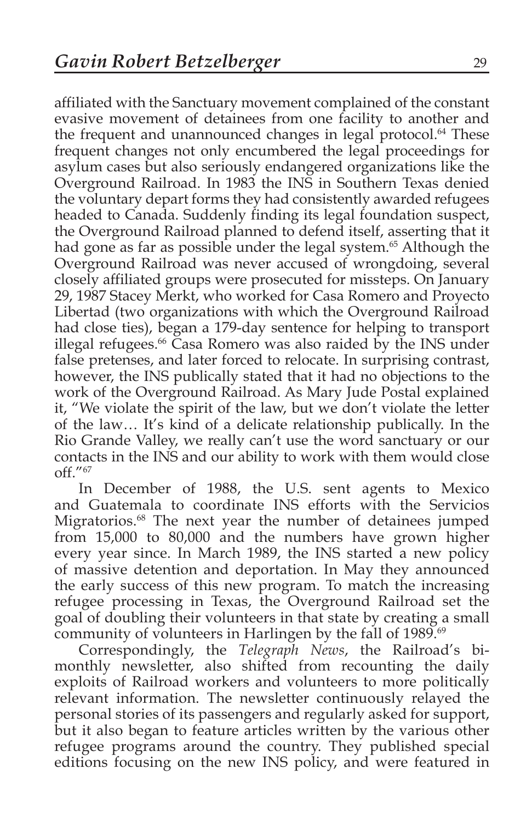affiliated with the Sanctuary movement complained of the constant evasive movement of detainees from one facility to another and the frequent and unannounced changes in legal protocol.<sup>64</sup> These frequent changes not only encumbered the legal proceedings for asylum cases but also seriously endangered organizations like the Overground Railroad. In 1983 the INS in Southern Texas denied the voluntary depart forms they had consistently awarded refugees headed to Canada. Suddenly finding its legal foundation suspect, the Overground Railroad planned to defend itself, asserting that it had gone as far as possible under the legal system.<sup>65</sup> Although the Overground Railroad was never accused of wrongdoing, several closely affiliated groups were prosecuted for missteps. On January 29, 1987 Stacey Merkt, who worked for Casa Romero and Proyecto Libertad (two organizations with which the Overground Railroad had close ties), began a 179-day sentence for helping to transport illegal refugees.66 Casa Romero was also raided by the INS under false pretenses, and later forced to relocate. In surprising contrast, however, the INS publically stated that it had no objections to the work of the Overground Railroad. As Mary Jude Postal explained it, "We violate the spirit of the law, but we don't violate the letter of the law… It's kind of a delicate relationship publically. In the Rio Grande Valley, we really can't use the word sanctuary or our contacts in the INS and our ability to work with them would close off."67

In December of 1988, the U.S. sent agents to Mexico and Guatemala to coordinate INS efforts with the Servicios Migratorios.68 The next year the number of detainees jumped from 15,000 to 80,000 and the numbers have grown higher every year since. In March 1989, the INS started a new policy of massive detention and deportation. In May they announced the early success of this new program. To match the increasing refugee processing in Texas, the Overground Railroad set the goal of doubling their volunteers in that state by creating a small community of volunteers in Harlingen by the fall of 1989.<sup>69</sup>

Correspondingly, the *Telegraph News*, the Railroad's bimonthly newsletter, also shifted from recounting the daily exploits of Railroad workers and volunteers to more politically relevant information. The newsletter continuously relayed the personal stories of its passengers and regularly asked for support, but it also began to feature articles written by the various other refugee programs around the country. They published special editions focusing on the new INS policy, and were featured in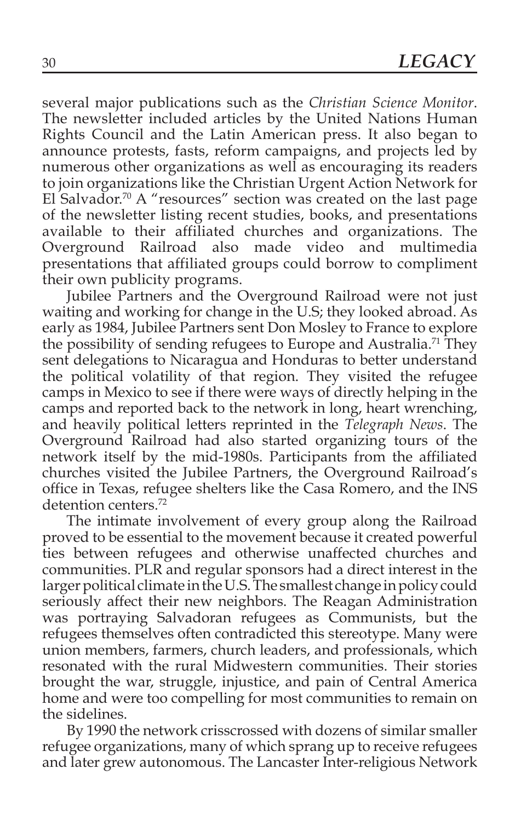several major publications such as the *Christian Science Monitor*. The newsletter included articles by the United Nations Human Rights Council and the Latin American press. It also began to announce protests, fasts, reform campaigns, and projects led by numerous other organizations as well as encouraging its readers to join organizations like the Christian Urgent Action Network for El Salvador.<sup>70</sup> A "resources" section was created on the last page of the newsletter listing recent studies, books, and presentations available to their affiliated churches and organizations. The Overground Railroad also made video and multimedia presentations that affiliated groups could borrow to compliment their own publicity programs.

Jubilee Partners and the Overground Railroad were not just waiting and working for change in the U.S; they looked abroad. As early as 1984, Jubilee Partners sent Don Mosley to France to explore the possibility of sending refugees to Europe and Australia.<sup>71</sup> They sent delegations to Nicaragua and Honduras to better understand the political volatility of that region. They visited the refugee camps in Mexico to see if there were ways of directly helping in the camps and reported back to the network in long, heart wrenching, and heavily political letters reprinted in the *Telegraph News*. The Overground Railroad had also started organizing tours of the network itself by the mid-1980s. Participants from the affiliated churches visited the Jubilee Partners, the Overground Railroad's office in Texas, refugee shelters like the Casa Romero, and the INS detention centers.72

The intimate involvement of every group along the Railroad proved to be essential to the movement because it created powerful ties between refugees and otherwise unaffected churches and communities. PLR and regular sponsors had a direct interest in the larger political climate in the U.S. The smallest change in policy could seriously affect their new neighbors. The Reagan Administration was portraying Salvadoran refugees as Communists, but the refugees themselves often contradicted this stereotype. Many were union members, farmers, church leaders, and professionals, which resonated with the rural Midwestern communities. Their stories brought the war, struggle, injustice, and pain of Central America home and were too compelling for most communities to remain on the sidelines.

By 1990 the network crisscrossed with dozens of similar smaller refugee organizations, many of which sprang up to receive refugees and later grew autonomous. The Lancaster Inter-religious Network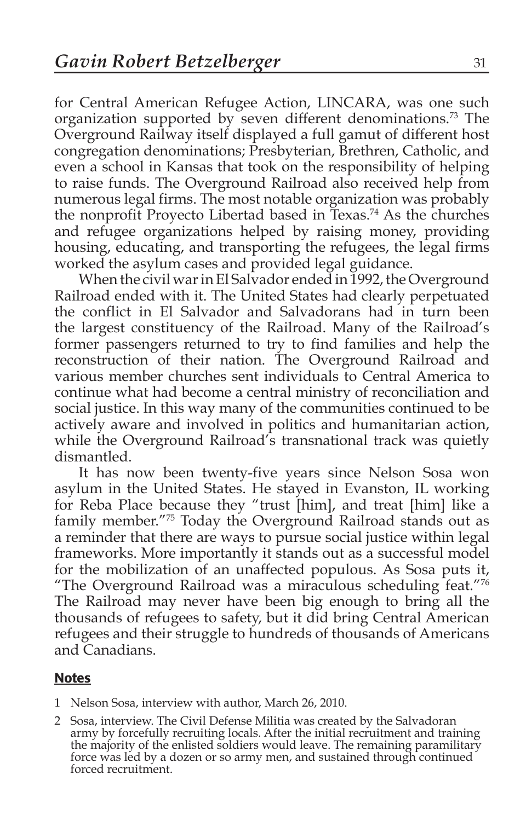for Central American Refugee Action, LINCARA, was one such organization supported by seven different denominations.<sup>73</sup> The Overground Railway itself displayed a full gamut of different host congregation denominations; Presbyterian, Brethren, Catholic, and even a school in Kansas that took on the responsibility of helping to raise funds. The Overground Railroad also received help from numerous legal firms. The most notable organization was probably the nonprofit Proyecto Libertad based in Texas.74 As the churches and refugee organizations helped by raising money, providing housing, educating, and transporting the refugees, the legal firms worked the asylum cases and provided legal guidance.

When the civil war in El Salvador ended in 1992, the Overground Railroad ended with it. The United States had clearly perpetuated the conflict in El Salvador and Salvadorans had in turn been the largest constituency of the Railroad. Many of the Railroad's former passengers returned to try to find families and help the reconstruction of their nation. The Overground Railroad and various member churches sent individuals to Central America to continue what had become a central ministry of reconciliation and social justice. In this way many of the communities continued to be actively aware and involved in politics and humanitarian action, while the Overground Railroad's transnational track was quietly dismantled.

It has now been twenty-five years since Nelson Sosa won asylum in the United States. He stayed in Evanston, IL working for Reba Place because they "trust [him], and treat [him] like a family member."75 Today the Overground Railroad stands out as a reminder that there are ways to pursue social justice within legal frameworks. More importantly it stands out as a successful model for the mobilization of an unaffected populous. As Sosa puts it, "The Overground Railroad was a miraculous scheduling feat."76 The Railroad may never have been big enough to bring all the thousands of refugees to safety, but it did bring Central American refugees and their struggle to hundreds of thousands of Americans and Canadians.

#### Notes

- 1 Nelson Sosa, interview with author, March 26, 2010.
- 2 Sosa, interview. The Civil Defense Militia was created by the Salvadoran army by forcefully recruiting locals. After the initial recruitment and training the majority of the enlisted soldiers would leave. The remaining paramilitary force was led by a dozen or so army men, and sustained through continued forced recruitment.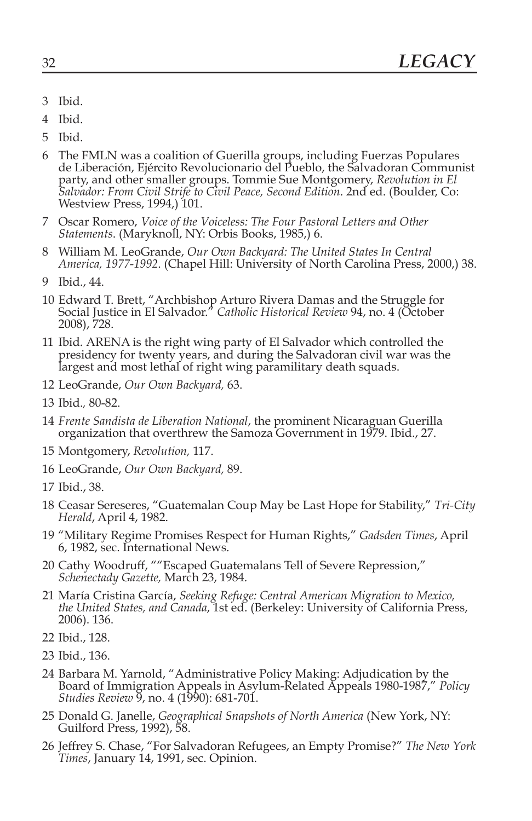- 3 Ibid.
- 4 Ibid.
- 5 Ibid.
- 6 The FMLN was a coalition of Guerilla groups, including Fuerzas Populares de Liberación, Ejército Revolucionario del Pueblo, the Salvadoran Communist party, and other smaller groups. Tommie Sue Montgomery, *Revolution in El Salvador: From Civil Strife to Civil Peace, Second Edition*. 2nd ed. (Boulder, Co: Westview Press, 1994,) 101.
- 7 Oscar Romero, *Voice of the Voiceless: The Four Pastoral Letters and Other Statements*. (Maryknoll, NY: Orbis Books, 1985,) 6.
- 8 William M. LeoGrande, *Our Own Backyard: The United States In Central America, 1977-1992*. (Chapel Hill: University of North Carolina Press, 2000,) 38.
- 9 Ibid., 44.
- 10 Edward T. Brett, "Archbishop Arturo Rivera Damas and the Struggle for Social Justice in El Salvador." *Catholic Historical Review* 94, no. 4 (October 2008), 728.
- <sup>11</sup> Ibid*.* ARENA is the right wing party of El Salvador which controlled the presidency for twenty years, and during the Salvadoran civil war was the largest and most lethal of right wing paramilitary death squads.
- 12 LeoGrande, *Our Own Backyard,* 63.
- 13 Ibid.*,* 80-82.
- 14 *Frente Sandista de Liberation National*, the prominent Nicaraguan Guerilla organization that overthrew the Samoza Government in 1979. Ibid., 27.
- 15 Montgomery, *Revolution,* 117.
- 16 LeoGrande, *Our Own Backyard,* 89.
- 17 Ibid., 38.
- 18 Ceasar Sereseres, "Guatemalan Coup May be Last Hope for Stability," *Tri-City Herald*, April 4, 1982.
- 19 "Military Regime Promises Respect for Human Rights," *Gadsden Times*, April 6, 1982, sec. International News.
- 20 Cathy Woodruff, ""Escaped Guatemalans Tell of Severe Repression," *Schenectady Gazette,* March 23, 1984.
- 21 María Cristina García, *Seeking Refuge: Central American Migration to Mexico, the United States, and Canada*, 1st ed. (Berkeley: University of California Press, 2006). 136.
- 22 Ibid., 128.
- 23 Ibid., 136.
- 24 Barbara M. Yarnold, "Administrative Policy Making: Adjudication by the Board of Immigration Appeals in Asylum-Related Appeals 1980-1987," *Policy Studies Review* 9, no. 4 (1990): 681-701.
- 25 Donald G. Janelle, *Geographical Snapshots of North America* (New York, NY: Guilford Press, 1992), 58.
- 26 Jeffrey S. Chase, "For Salvadoran Refugees, an Empty Promise?" *The New York Times*, January 14, 1991, sec. Opinion.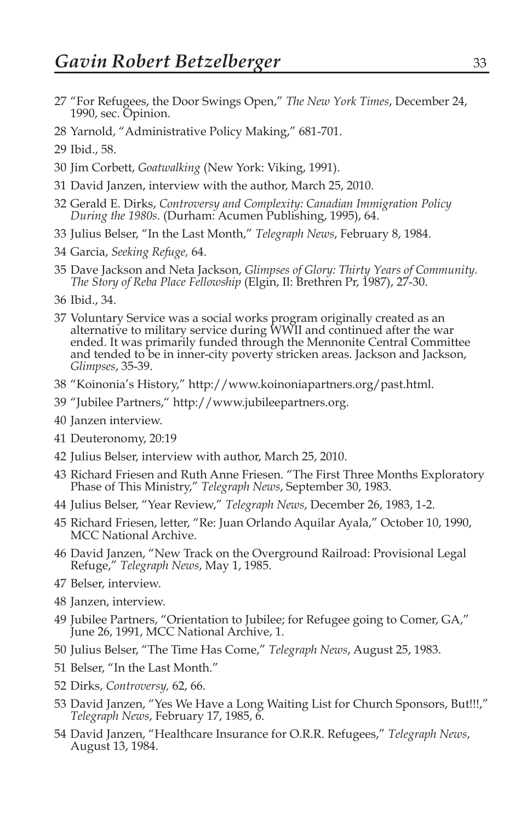- "For Refugees, the Door Swings Open," *The New York Times*, December 24, 1990, sec. Opinion.
- Yarnold, "Administrative Policy Making," 681-701.
- Ibid., 58.
- Jim Corbett, *Goatwalking* (New York: Viking, 1991).
- David Janzen, interview with the author, March 25, 2010.
- Gerald E. Dirks, *Controversy and Complexity: Canadian Immigration Policy During the 1980s*. (Durham: Acumen Publishing, 1995), 64.
- Julius Belser, "In the Last Month," *Telegraph News*, February 8, 1984.
- Garcia, *Seeking Refuge,* 64.
- Dave Jackson and Neta Jackson, *Glimpses of Glory: Thirty Years of Community. The Story of Reba Place Fellowship* (Elgin, Il: Brethren Pr, 1987), 27-30.
- Ibid., 34.
- Voluntary Service was a social works program originally created as an alternative to military service during WWII and continued after the war ended. It was primarily funded through the Mennonite Central Committee and tended to be in inner-city poverty stricken areas. Jackson and Jackson, *Glimpses*, 35-39.
- "Koinonia's History," http://www.koinoniapartners.org/past.html.
- "Jubilee Partners," http://www.jubileepartners.org.
- Janzen interview.
- Deuteronomy, 20:19
- Julius Belser, interview with author, March 25, 2010.
- Richard Friesen and Ruth Anne Friesen. "The First Three Months Exploratory Phase of This Ministry," *Telegraph News*, September 30, 1983.
- Julius Belser, "Year Review," *Telegraph News*, December 26, 1983, 1-2.
- Richard Friesen, letter, "Re: Juan Orlando Aquilar Ayala," October 10, 1990, MCC National Archive.
- David Janzen, "New Track on the Overground Railroad: Provisional Legal Refuge," *Telegraph News*, May 1, 1985.
- Belser, interview.
- Janzen, interview.
- Jubilee Partners, "Orientation to Jubilee; for Refugee going to Comer, GA," June 26, 1991, MCC National Archive, 1.
- Julius Belser, "The Time Has Come," *Telegraph News*, August 25, 1983.
- Belser, "In the Last Month."
- Dirks, *Controversy,* 62, 66.
- David Janzen, "Yes We Have a Long Waiting List for Church Sponsors, But!!!," *Telegraph News*, February 17, 1985, 6.
- David Janzen, "Healthcare Insurance for O.R.R. Refugees," *Telegraph News*, August 13, 1984.